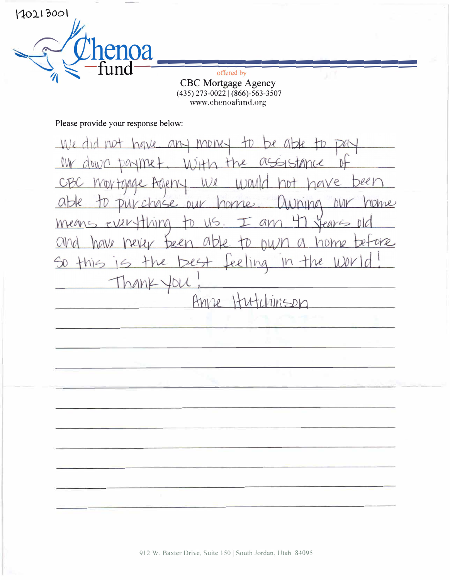offered by CBC Mortgage Agency<br>(435) 273-0022 | (866)-563-3507 www.chenoafund.org

Please provide your response below:

enoa

170213001

mone- $4b$  $M/e$ not an OW t re UC  $\gamma$  $DA$ beer ave CB  $M/R$  $11201$ ATTRIN-IDV TOMC nome  $a$ biar nomes  $245e$  $D11V$  $lnin\mathbb{C}$ Means ever Jeans  $115.$ an ung ore  $[$ Del Dmo  $MQVl$  $AD$  $\mathcal{O}$  $\rightarrow$  $|1|$ So this  $265 +$ Ll  $\ell$  $\varphi$  $\angle$  $fDL$ hank. Anne Hutchinson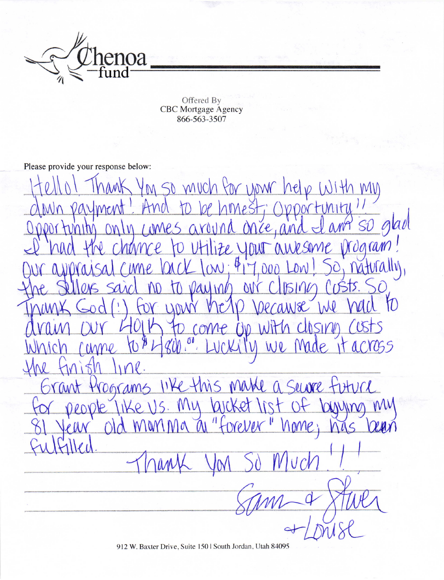

Offered By<br>CBC Mortgage Agency<br>866-563-3507

Please provide your response below:

M SO MUCh for your help With MW imitu so glad once, and  $MES$  $\alpha$  Y Vrogram!  $\mathcal{F} \rho$ naturally  $91 \mathcal{M}$ Vaying D MAN -2  $\sqrt{\mathsf{M}}$  $US$  $tvcl$  $11$  $060$ MM arc yma nome; torevex  $\mathcal O$ Λ١

912 W. Baxter Drive, Suite 150 | South Jordan, Utah 84095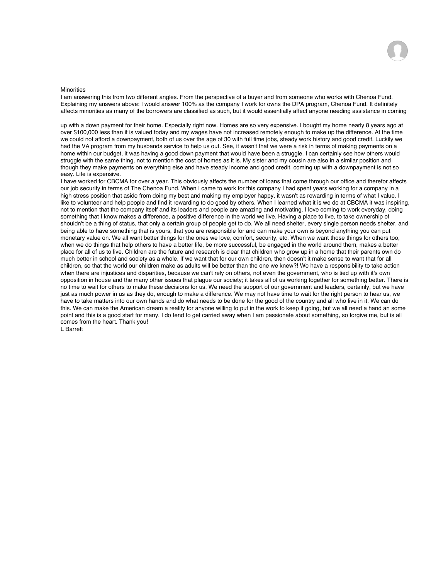## **Minorities**

I am answering this from two different angles. From the perspective of a buyer and from someone who works with Chenoa Fund. Explaining my answers above: I would answer 100% as the company I work for owns the DPA program, Chenoa Fund. It definitely affects minorities as many of the borrowers are classified as such, but it would essentially affect anyone needing assistance in coming

up with a down payment for their home. Especially right now. Homes are so very expensive. I bought my home nearly 8 years ago at over \$100,000 less than it is valued today and my wages have not increased remotely enough to make up the difference. At the time we could not afford a downpayment, both of us over the age of 30 with full time jobs, steady work history and good credit. Luckily we had the VA program from my husbands service to help us out. See, it wasn't that we were a risk in terms of making payments on a home within our budget, it was having a good down payment that would have been a struggle. I can certainly see how others would struggle with the same thing, not to mention the cost of homes as it is. My sister and my cousin are also in a similar position and though they make payments on everything else and have steady income and good credit, coming up with a downpayment is not so easy. Life is expensive.

I have worked for CBCMA for over a year. This obviously affects the number of loans that come through our office and therefor affects our job security in terms of The Chenoa Fund. When I came to work for this company I had spent years working for a company in a high stress position that aside from doing my best and making my employer happy, it wasn't as rewarding in terms of what I value. I like to volunteer and help people and find it rewarding to do good by others. When I learned what it is we do at CBCMA it was inspiring, not to mention that the company itself and its leaders and people are amazing and motivating. I love coming to work everyday, doing something that I know makes a difference, a positive difference in the world we live. Having a place to live, to take ownership of shouldn't be a thing of status, that only a certain group of people get to do. We all need shelter, every single person needs shelter, and being able to have something that is yours, that you are responsible for and can make your own is beyond anything you can put monetary value on. We all want better things for the ones we love, comfort, security, etc. When we want those things for others too, when we do things that help others to have a better life, be more successful, be engaged in the world around them, makes a better place for all of us to live. Children are the future and research is clear that children who grow up in a home that their parents own do much better in school and society as a whole. If we want that for our own children, then doesn't it make sense to want that for all children, so that the world our children make as adults will be better than the one we knew?! We have a responsibility to take action when there are injustices and disparities, because we can't rely on others, not even the government, who is tied up with it's own opposition in house and the many other issues that plague our society; it takes all of us working together for something better. There is no time to wait for others to make these decisions for us. We need the support of our government and leaders, certainly, but we have just as much power in us as they do, enough to make a difference. We may not have time to wait for the right person to hear us, we have to take matters into our own hands and do what needs to be done for the good of the country and all who live in it. We can do this. We can make the American dream a reality for anyone willing to put in the work to keep it going, but we all need a hand an some point and this is a good start for many. I do tend to get carried away when I am passionate about something, so forgive me, but is all comes from the heart. Thank you!

L Barrett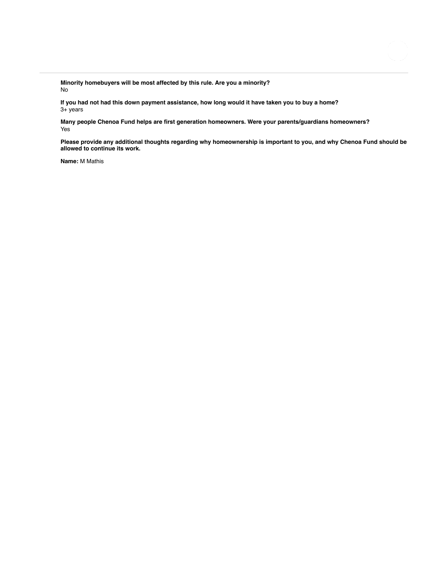**Minority homebuyers will be most affected by this rule. Are you a minority?** No

**If you had not had this down payment assistance, how long would it have taken you to buy a home?** 3+ years

**Many people Chenoa Fund helps are first generation homeowners. Were your parents/guardians homeowners?** Yes

**Please provide any additional thoughts regarding why homeownership is important to you, and why Chenoa Fund should be allowed to continue its work.**

**Name:** M Mathis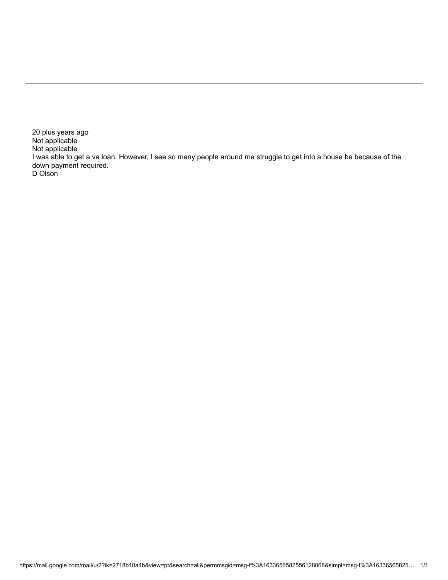20 plus years ago Not applicable Not applicable I was able to get a va loan. However, I see so many people around me struggle to get into a house be because of the down payment required. D Olson